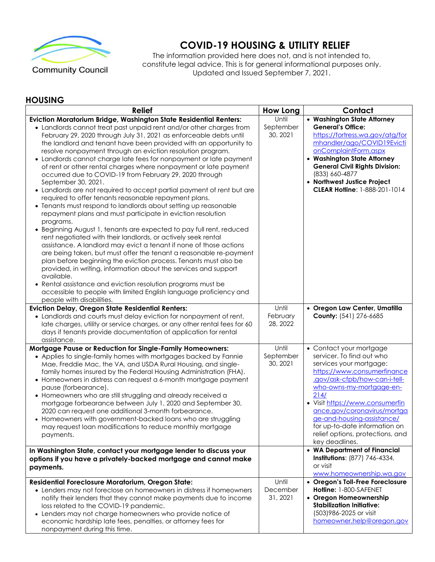

**COVID-19 HOUSING & UTILITY RELIEF**

The information provided here does not, and is not intended to, constitute legal advice. This is for general informational purposes only. Updated and Issued September 7, 2021.

## **HOUSING**

| <b>Relief</b>                                                                                                                                                                                                                                                                                                                                                                                                                                                                                                                                                                                                                                                                                                                                                                                                                                                                                                                                                                                                                                                                                                                                                                                                                                                                                                                                                                                                                                                                 | <b>How Long</b>                | Contact                                                                                                                                                                                                                                                                                                                                                                    |
|-------------------------------------------------------------------------------------------------------------------------------------------------------------------------------------------------------------------------------------------------------------------------------------------------------------------------------------------------------------------------------------------------------------------------------------------------------------------------------------------------------------------------------------------------------------------------------------------------------------------------------------------------------------------------------------------------------------------------------------------------------------------------------------------------------------------------------------------------------------------------------------------------------------------------------------------------------------------------------------------------------------------------------------------------------------------------------------------------------------------------------------------------------------------------------------------------------------------------------------------------------------------------------------------------------------------------------------------------------------------------------------------------------------------------------------------------------------------------------|--------------------------------|----------------------------------------------------------------------------------------------------------------------------------------------------------------------------------------------------------------------------------------------------------------------------------------------------------------------------------------------------------------------------|
| Eviction Moratorium Bridge, Washington State Residential Renters:<br>• Landlords cannot treat past unpaid rent and/or other charges from<br>February 29, 2020 through July 31, 2021 as enforceable debts until<br>the landlord and tenant have been provided with an opportunity to<br>resolve nonpayment through an eviction resolution program.<br>• Landlords cannot charge late fees for nonpayment or late payment<br>of rent or other rental charges where nonpayment or late payment<br>occurred due to COVID-19 from February 29, 2020 through<br>September 30, 2021.<br>• Landlords are not required to accept partial payment of rent but are<br>required to offer tenants reasonable repayment plans.<br>• Tenants must respond to landlords about setting up reasonable<br>repayment plans and must participate in eviction resolution<br>programs.<br>• Beginning August 1, tenants are expected to pay full rent, reduced<br>rent negotiated with their landlords, or actively seek rental<br>assistance. A landlord may evict a tenant if none of those actions<br>are being taken, but must offer the tenant a reasonable re-payment<br>plan before beginning the eviction process. Tenants must also be<br>provided, in writing, information about the services and support<br>available.<br>• Rental assistance and eviction resolution programs must be<br>accessible to people with limited English language proficiency and<br>people with disabilities. | Until<br>September<br>30, 2021 | • Washington State Attorney<br><b>General's Office:</b><br>https://fortress.wa.gov/atg/for<br>mhandler/ago/COVID19Evicti<br>onComplaintForm.aspx<br>• Washington State Attorney<br><b>General Civil Rights Division:</b><br>(833) 660-4877<br>• Northwest Justice Project<br>CLEAR Holline: 1-888-201-1014                                                                 |
| <b>Eviction Delay, Oregon State Residential Renters:</b><br>• Landlords and courts must delay eviction for nonpayment of rent,<br>late charges, utility or service charges, or any other rental fees for 60<br>days if tenants provide documentation of application for rental<br>assistance.                                                                                                                                                                                                                                                                                                                                                                                                                                                                                                                                                                                                                                                                                                                                                                                                                                                                                                                                                                                                                                                                                                                                                                                 | Until<br>February<br>28, 2022  | · Oregon Law Center, Umatilla<br>County: (541) 276-6685                                                                                                                                                                                                                                                                                                                    |
| Mortgage Pause or Reduction for Single-Family Homeowners:<br>• Applies to single-family homes with mortgages backed by Fannie<br>Mae, Freddie Mac, the VA, and USDA Rural Housing, and single-<br>family homes insured by the Federal Housing Administration (FHA).<br>• Homeowners in distress can request a 6-month mortgage payment<br>pause (forbearance).<br>• Homeowners who are still struggling and already received a<br>mortgage forbearance between July 1, 2020 and September 30,<br>2020 can request one additional 3-month forbearance.<br>• Homeowners with government-backed loans who are struggling<br>may request loan modifications to reduce monthly mortgage<br>payments.                                                                                                                                                                                                                                                                                                                                                                                                                                                                                                                                                                                                                                                                                                                                                                               | Until<br>September<br>30, 2021 | • Contact your mortgage<br>servicer. To find out who<br>services your mortgage:<br>https://www.consumerfinance<br>.gov/ask-cfpb/how-can-i-tell-<br>who-owns-my-mortgage-en-<br>214/<br>· Visit https://www.consumerfin<br>ance.gov/coronavirus/mortga<br>ge-and-housing-assistance/<br>for up-to-date information on<br>relief options, protections, and<br>key deadlines. |
| In Washington State, contact your mortgage lender to discuss your<br>options if you have a privately-backed mortgage and cannot make<br>payments.                                                                                                                                                                                                                                                                                                                                                                                                                                                                                                                                                                                                                                                                                                                                                                                                                                                                                                                                                                                                                                                                                                                                                                                                                                                                                                                             |                                | • WA Department of Financial<br>Institutions: (877) 746-4334,<br>or visit<br>www.homeownership.wa.gov                                                                                                                                                                                                                                                                      |
| Residential Foreclosure Moratorium, Oregon State:<br>• Lenders may not foreclose on homeowners in distress if homeowners<br>notify their lenders that they cannot make payments due to income<br>loss related to the COVID-19 pandemic.<br>• Lenders may not charge homeowners who provide notice of<br>economic hardship late fees, penalties, or attorney fees for<br>nonpayment during this time.                                                                                                                                                                                                                                                                                                                                                                                                                                                                                                                                                                                                                                                                                                                                                                                                                                                                                                                                                                                                                                                                          | Until<br>December<br>31, 2021  | • Oregon's Toll-Free Foreclosure<br>Holline: 1-800-SAFENET<br>• Oregon Homeownership<br><b>Stabilization Initiative:</b><br>(503) 986-2025 or visit<br>homeowner.help@oregon.gov                                                                                                                                                                                           |